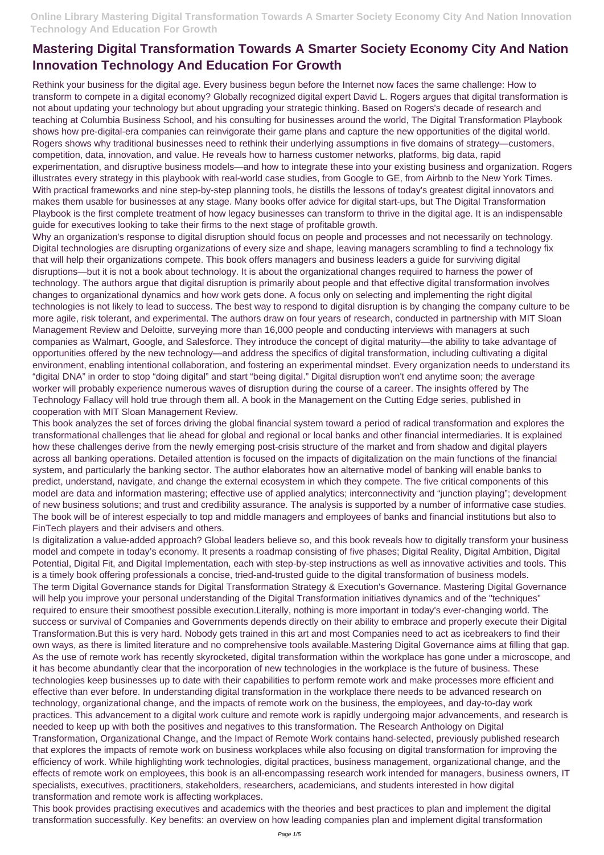Rethink your business for the digital age. Every business begun before the Internet now faces the same challenge: How to transform to compete in a digital economy? Globally recognized digital expert David L. Rogers argues that digital transformation is not about updating your technology but about upgrading your strategic thinking. Based on Rogers's decade of research and teaching at Columbia Business School, and his consulting for businesses around the world, The Digital Transformation Playbook shows how pre-digital-era companies can reinvigorate their game plans and capture the new opportunities of the digital world. Rogers shows why traditional businesses need to rethink their underlying assumptions in five domains of strategy—customers, competition, data, innovation, and value. He reveals how to harness customer networks, platforms, big data, rapid experimentation, and disruptive business models—and how to integrate these into your existing business and organization. Rogers illustrates every strategy in this playbook with real-world case studies, from Google to GE, from Airbnb to the New York Times. With practical frameworks and nine step-by-step planning tools, he distills the lessons of today's greatest digital innovators and makes them usable for businesses at any stage. Many books offer advice for digital start-ups, but The Digital Transformation Playbook is the first complete treatment of how legacy businesses can transform to thrive in the digital age. It is an indispensable guide for executives looking to take their firms to the next stage of profitable growth.

Why an organization's response to digital disruption should focus on people and processes and not necessarily on technology. Digital technologies are disrupting organizations of every size and shape, leaving managers scrambling to find a technology fix that will help their organizations compete. This book offers managers and business leaders a guide for surviving digital disruptions—but it is not a book about technology. It is about the organizational changes required to harness the power of technology. The authors argue that digital disruption is primarily about people and that effective digital transformation involves changes to organizational dynamics and how work gets done. A focus only on selecting and implementing the right digital technologies is not likely to lead to success. The best way to respond to digital disruption is by changing the company culture to be more agile, risk tolerant, and experimental. The authors draw on four years of research, conducted in partnership with MIT Sloan Management Review and Deloitte, surveying more than 16,000 people and conducting interviews with managers at such companies as Walmart, Google, and Salesforce. They introduce the concept of digital maturity—the ability to take advantage of opportunities offered by the new technology—and address the specifics of digital transformation, including cultivating a digital environment, enabling intentional collaboration, and fostering an experimental mindset. Every organization needs to understand its "digital DNA" in order to stop "doing digital" and start "being digital." Digital disruption won't end anytime soon; the average worker will probably experience numerous waves of disruption during the course of a career. The insights offered by The Technology Fallacy will hold true through them all. A book in the Management on the Cutting Edge series, published in cooperation with MIT Sloan Management Review.

This book analyzes the set of forces driving the global financial system toward a period of radical transformation and explores the transformational challenges that lie ahead for global and regional or local banks and other financial intermediaries. It is explained how these challenges derive from the newly emerging post-crisis structure of the market and from shadow and digital players across all banking operations. Detailed attention is focused on the impacts of digitalization on the main functions of the financial system, and particularly the banking sector. The author elaborates how an alternative model of banking will enable banks to predict, understand, navigate, and change the external ecosystem in which they compete. The five critical components of this model are data and information mastering; effective use of applied analytics; interconnectivity and "junction playing"; development of new business solutions; and trust and credibility assurance. The analysis is supported by a number of informative case studies. The book will be of interest especially to top and middle managers and employees of banks and financial institutions but also to FinTech players and their advisers and others.

Is digitalization a value-added approach? Global leaders believe so, and this book reveals how to digitally transform your business model and compete in today's economy. It presents a roadmap consisting of five phases; Digital Reality, Digital Ambition, Digital Potential, Digital Fit, and Digital Implementation, each with step-by-step instructions as well as innovative activities and tools. This is a timely book offering professionals a concise, tried-and-trusted guide to the digital transformation of business models. The term Digital Governance stands for Digital Transformation Strategy & Execution's Governance. Mastering Digital Governance will help you improve your personal understanding of the Digital Transformation initiatives dynamics and of the "techniques" required to ensure their smoothest possible execution.Literally, nothing is more important in today's ever-changing world. The success or survival of Companies and Governments depends directly on their ability to embrace and properly execute their Digital Transformation.But this is very hard. Nobody gets trained in this art and most Companies need to act as icebreakers to find their own ways, as there is limited literature and no comprehensive tools available.Mastering Digital Governance aims at filling that gap. As the use of remote work has recently skyrocketed, digital transformation within the workplace has gone under a microscope, and it has become abundantly clear that the incorporation of new technologies in the workplace is the future of business. These technologies keep businesses up to date with their capabilities to perform remote work and make processes more efficient and effective than ever before. In understanding digital transformation in the workplace there needs to be advanced research on technology, organizational change, and the impacts of remote work on the business, the employees, and day-to-day work practices. This advancement to a digital work culture and remote work is rapidly undergoing major advancements, and research is needed to keep up with both the positives and negatives to this transformation. The Research Anthology on Digital Transformation, Organizational Change, and the Impact of Remote Work contains hand-selected, previously published research that explores the impacts of remote work on business workplaces while also focusing on digital transformation for improving the efficiency of work. While highlighting work technologies, digital practices, business management, organizational change, and the effects of remote work on employees, this book is an all-encompassing research work intended for managers, business owners, IT specialists, executives, practitioners, stakeholders, researchers, academicians, and students interested in how digital transformation and remote work is affecting workplaces. This book provides practising executives and academics with the theories and best practices to plan and implement the digital transformation successfully. Key benefits: an overview on how leading companies plan and implement digital transformation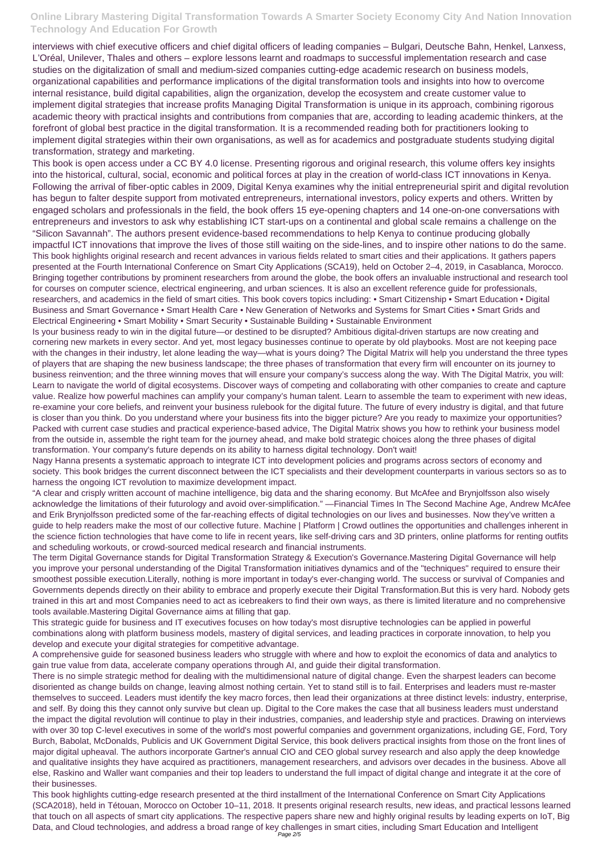interviews with chief executive officers and chief digital officers of leading companies – Bulgari, Deutsche Bahn, Henkel, Lanxess, L'Oréal, Unilever, Thales and others – explore lessons learnt and roadmaps to successful implementation research and case studies on the digitalization of small and medium-sized companies cutting-edge academic research on business models, organizational capabilities and performance implications of the digital transformation tools and insights into how to overcome internal resistance, build digital capabilities, align the organization, develop the ecosystem and create customer value to implement digital strategies that increase profits Managing Digital Transformation is unique in its approach, combining rigorous academic theory with practical insights and contributions from companies that are, according to leading academic thinkers, at the forefront of global best practice in the digital transformation. It is a recommended reading both for practitioners looking to implement digital strategies within their own organisations, as well as for academics and postgraduate students studying digital transformation, strategy and marketing.

This book is open access under a CC BY 4.0 license. Presenting rigorous and original research, this volume offers key insights into the historical, cultural, social, economic and political forces at play in the creation of world-class ICT innovations in Kenya. Following the arrival of fiber-optic cables in 2009, Digital Kenya examines why the initial entrepreneurial spirit and digital revolution has begun to falter despite support from motivated entrepreneurs, international investors, policy experts and others. Written by engaged scholars and professionals in the field, the book offers 15 eye-opening chapters and 14 one-on-one conversations with entrepreneurs and investors to ask why establishing ICT start-ups on a continental and global scale remains a challenge on the "Silicon Savannah". The authors present evidence-based recommendations to help Kenya to continue producing globally impactful ICT innovations that improve the lives of those still waiting on the side-lines, and to inspire other nations to do the same. This book highlights original research and recent advances in various fields related to smart cities and their applications. It gathers papers presented at the Fourth International Conference on Smart City Applications (SCA19), held on October 2–4, 2019, in Casablanca, Morocco. Bringing together contributions by prominent researchers from around the globe, the book offers an invaluable instructional and research tool for courses on computer science, electrical engineering, and urban sciences. It is also an excellent reference guide for professionals, researchers, and academics in the field of smart cities. This book covers topics including: • Smart Citizenship • Smart Education • Digital Business and Smart Governance • Smart Health Care • New Generation of Networks and Systems for Smart Cities • Smart Grids and Electrical Engineering • Smart Mobility • Smart Security • Sustainable Building • Sustainable Environment

Is your business ready to win in the digital future—or destined to be disrupted? Ambitious digital-driven startups are now creating and cornering new markets in every sector. And yet, most legacy businesses continue to operate by old playbooks. Most are not keeping pace with the changes in their industry, let alone leading the way—what is yours doing? The Digital Matrix will help you understand the three types of players that are shaping the new business landscape; the three phases of transformation that every firm will encounter on its journey to business reinvention; and the three winning moves that will ensure your company's success along the way. With The Digital Matrix, you will: Learn to navigate the world of digital ecosystems. Discover ways of competing and collaborating with other companies to create and capture value. Realize how powerful machines can amplify your company's human talent. Learn to assemble the team to experiment with new ideas, re-examine your core beliefs, and reinvent your business rulebook for the digital future. The future of every industry is digital, and that future is closer than you think. Do you understand where your business fits into the bigger picture? Are you ready to maximize your opportunities? Packed with current case studies and practical experience-based advice, The Digital Matrix shows you how to rethink your business model from the outside in, assemble the right team for the journey ahead, and make bold strategic choices along the three phases of digital transformation. Your company's future depends on its ability to harness digital technology. Don't wait!

Nagy Hanna presents a systematic approach to integrate ICT into development policies and programs across sectors of economy and society. This book bridges the current disconnect between the ICT specialists and their development counterparts in various sectors so as to harness the ongoing ICT revolution to maximize development impact.

"A clear and crisply written account of machine intelligence, big data and the sharing economy. But McAfee and Brynjolfsson also wisely acknowledge the limitations of their futurology and avoid over-simplification." —Financial Times In The Second Machine Age, Andrew McAfee and Erik Brynjolfsson predicted some of the far-reaching effects of digital technologies on our lives and businesses. Now they've written a guide to help readers make the most of our collective future. Machine | Platform | Crowd outlines the opportunities and challenges inherent in the science fiction technologies that have come to life in recent years, like self-driving cars and 3D printers, online platforms for renting outfits and scheduling workouts, or crowd-sourced medical research and financial instruments.

The term Digital Governance stands for Digital Transformation Strategy & Execution's Governance.Mastering Digital Governance will help you improve your personal understanding of the Digital Transformation initiatives dynamics and of the "techniques" required to ensure their smoothest possible execution.Literally, nothing is more important in today's ever-changing world. The success or survival of Companies and Governments depends directly on their ability to embrace and properly execute their Digital Transformation.But this is very hard. Nobody gets trained in this art and most Companies need to act as icebreakers to find their own ways, as there is limited literature and no comprehensive tools available.Mastering Digital Governance aims at filling that gap.

This strategic guide for business and IT executives focuses on how today's most disruptive technologies can be applied in powerful combinations along with platform business models, mastery of digital services, and leading practices in corporate innovation, to help you develop and execute your digital strategies for competitive advantage.

A comprehensive guide for seasoned business leaders who struggle with where and how to exploit the economics of data and analytics to gain true value from data, accelerate company operations through AI, and guide their digital transformation.

There is no simple strategic method for dealing with the multidimensional nature of digital change. Even the sharpest leaders can become disoriented as change builds on change, leaving almost nothing certain. Yet to stand still is to fail. Enterprises and leaders must re-master themselves to succeed. Leaders must identify the key macro forces, then lead their organizations at three distinct levels: industry, enterprise, and self. By doing this they cannot only survive but clean up. Digital to the Core makes the case that all business leaders must understand the impact the digital revolution will continue to play in their industries, companies, and leadership style and practices. Drawing on interviews with over 30 top C-level executives in some of the world's most powerful companies and government organizations, including GE, Ford, Tory Burch, Babolat, McDonalds, Publicis and UK Government Digital Service, this book delivers practical insights from those on the front lines of major digital upheaval. The authors incorporate Gartner's annual CIO and CEO global survey research and also apply the deep knowledge and qualitative insights they have acquired as practitioners, management researchers, and advisors over decades in the business. Above all else, Raskino and Waller want companies and their top leaders to understand the full impact of digital change and integrate it at the core of their businesses.

This book highlights cutting-edge research presented at the third installment of the International Conference on Smart City Applications (SCA2018), held in Tétouan, Morocco on October 10–11, 2018. It presents original research results, new ideas, and practical lessons learned that touch on all aspects of smart city applications. The respective papers share new and highly original results by leading experts on IoT, Big Data, and Cloud technologies, and address a broad range of key challenges in smart cities, including Smart Education and Intelligent Page 2/5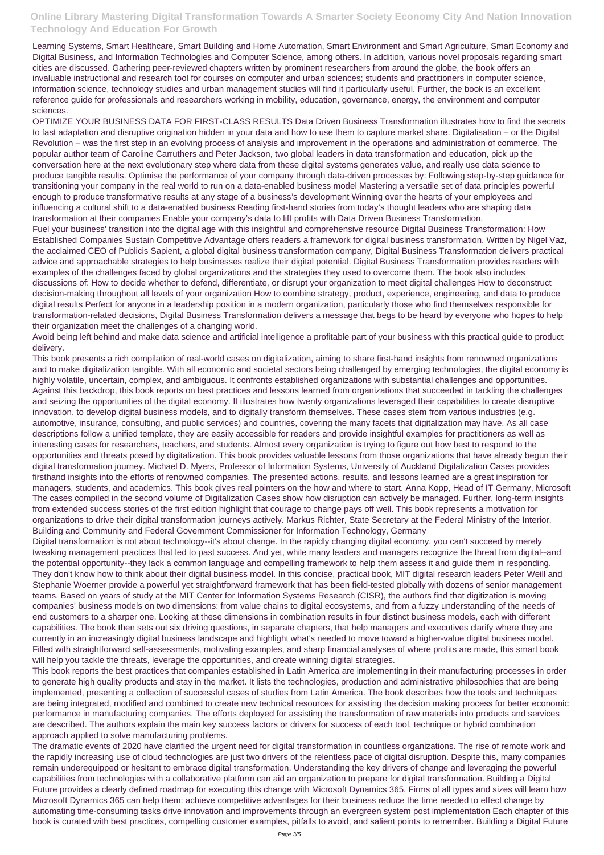Learning Systems, Smart Healthcare, Smart Building and Home Automation, Smart Environment and Smart Agriculture, Smart Economy and Digital Business, and Information Technologies and Computer Science, among others. In addition, various novel proposals regarding smart cities are discussed. Gathering peer-reviewed chapters written by prominent researchers from around the globe, the book offers an invaluable instructional and research tool for courses on computer and urban sciences; students and practitioners in computer science, information science, technology studies and urban management studies will find it particularly useful. Further, the book is an excellent reference guide for professionals and researchers working in mobility, education, governance, energy, the environment and computer sciences.

OPTIMIZE YOUR BUSINESS DATA FOR FIRST-CLASS RESULTS Data Driven Business Transformation illustrates how to find the secrets to fast adaptation and disruptive origination hidden in your data and how to use them to capture market share. Digitalisation – or the Digital Revolution – was the first step in an evolving process of analysis and improvement in the operations and administration of commerce. The popular author team of Caroline Carruthers and Peter Jackson, two global leaders in data transformation and education, pick up the conversation here at the next evolutionary step where data from these digital systems generates value, and really use data science to produce tangible results. Optimise the performance of your company through data-driven processes by: Following step-by-step guidance for transitioning your company in the real world to run on a data-enabled business model Mastering a versatile set of data principles powerful enough to produce transformative results at any stage of a business's development Winning over the hearts of your employees and influencing a cultural shift to a data-enabled business Reading first-hand stories from today's thought leaders who are shaping data transformation at their companies Enable your company's data to lift profits with Data Driven Business Transformation.

Fuel your business' transition into the digital age with this insightful and comprehensive resource Digital Business Transformation: How Established Companies Sustain Competitive Advantage offers readers a framework for digital business transformation. Written by Nigel Vaz, the acclaimed CEO of Publicis Sapient, a global digital business transformation company, Digital Business Transformation delivers practical advice and approachable strategies to help businesses realize their digital potential. Digital Business Transformation provides readers with examples of the challenges faced by global organizations and the strategies they used to overcome them. The book also includes discussions of: How to decide whether to defend, differentiate, or disrupt your organization to meet digital challenges How to deconstruct decision-making throughout all levels of your organization How to combine strategy, product, experience, engineering, and data to produce digital results Perfect for anyone in a leadership position in a modern organization, particularly those who find themselves responsible for transformation-related decisions, Digital Business Transformation delivers a message that begs to be heard by everyone who hopes to help their organization meet the challenges of a changing world.

Avoid being left behind and make data science and artificial intelligence a profitable part of your business with this practical guide to product delivery.

This book presents a rich compilation of real-world cases on digitalization, aiming to share first-hand insights from renowned organizations and to make digitalization tangible. With all economic and societal sectors being challenged by emerging technologies, the digital economy is highly volatile, uncertain, complex, and ambiguous. It confronts established organizations with substantial challenges and opportunities. Against this backdrop, this book reports on best practices and lessons learned from organizations that succeeded in tackling the challenges and seizing the opportunities of the digital economy. It illustrates how twenty organizations leveraged their capabilities to create disruptive innovation, to develop digital business models, and to digitally transform themselves. These cases stem from various industries (e.g. automotive, insurance, consulting, and public services) and countries, covering the many facets that digitalization may have. As all case descriptions follow a unified template, they are easily accessible for readers and provide insightful examples for practitioners as well as interesting cases for researchers, teachers, and students. Almost every organization is trying to figure out how best to respond to the opportunities and threats posed by digitalization. This book provides valuable lessons from those organizations that have already begun their digital transformation journey. Michael D. Myers, Professor of Information Systems, University of Auckland Digitalization Cases provides firsthand insights into the efforts of renowned companies. The presented actions, results, and lessons learned are a great inspiration for managers, students, and academics. This book gives real pointers on the how and where to start. Anna Kopp, Head of IT Germany, Microsoft The cases compiled in the second volume of Digitalization Cases show how disruption can actively be managed. Further, long-term insights from extended success stories of the first edition highlight that courage to change pays off well. This book represents a motivation for organizations to drive their digital transformation journeys actively. Markus Richter, State Secretary at the Federal Ministry of the Interior, Building and Community and Federal Government Commissioner for Information Technology, Germany

Digital transformation is not about technology--it's about change. In the rapidly changing digital economy, you can't succeed by merely tweaking management practices that led to past success. And yet, while many leaders and managers recognize the threat from digital--and the potential opportunity--they lack a common language and compelling framework to help them assess it and guide them in responding. They don't know how to think about their digital business model. In this concise, practical book, MIT digital research leaders Peter Weill and Stephanie Woerner provide a powerful yet straightforward framework that has been field-tested globally with dozens of senior management teams. Based on years of study at the MIT Center for Information Systems Research (CISR), the authors find that digitization is moving companies' business models on two dimensions: from value chains to digital ecosystems, and from a fuzzy understanding of the needs of end customers to a sharper one. Looking at these dimensions in combination results in four distinct business models, each with different capabilities. The book then sets out six driving questions, in separate chapters, that help managers and executives clarify where they are currently in an increasingly digital business landscape and highlight what's needed to move toward a higher-value digital business model.

Filled with straightforward self-assessments, motivating examples, and sharp financial analyses of where profits are made, this smart book will help you tackle the threats, leverage the opportunities, and create winning digital strategies.

This book reports the best practices that companies established in Latin America are implementing in their manufacturing processes in order to generate high quality products and stay in the market. It lists the technologies, production and administrative philosophies that are being implemented, presenting a collection of successful cases of studies from Latin America. The book describes how the tools and techniques are being integrated, modified and combined to create new technical resources for assisting the decision making process for better economic performance in manufacturing companies. The efforts deployed for assisting the transformation of raw materials into products and services are described. The authors explain the main key success factors or drivers for success of each tool, technique or hybrid combination approach applied to solve manufacturing problems.

The dramatic events of 2020 have clarified the urgent need for digital transformation in countless organizations. The rise of remote work and the rapidly increasing use of cloud technologies are just two drivers of the relentless pace of digital disruption. Despite this, many companies remain underequipped or hesitant to embrace digital transformation. Understanding the key drivers of change and leveraging the powerful capabilities from technologies with a collaborative platform can aid an organization to prepare for digital transformation. Building a Digital Future provides a clearly defined roadmap for executing this change with Microsoft Dynamics 365. Firms of all types and sizes will learn how Microsoft Dynamics 365 can help them: achieve competitive advantages for their business reduce the time needed to effect change by automating time-consuming tasks drive innovation and improvements through an evergreen system post implementation Each chapter of this book is curated with best practices, compelling customer examples, pitfalls to avoid, and salient points to remember. Building a Digital Future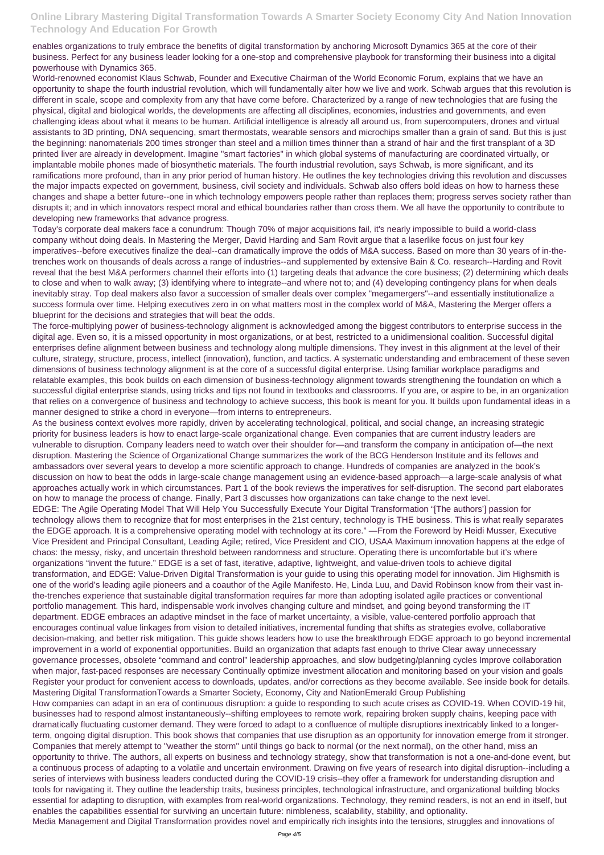enables organizations to truly embrace the benefits of digital transformation by anchoring Microsoft Dynamics 365 at the core of their business. Perfect for any business leader looking for a one-stop and comprehensive playbook for transforming their business into a digital powerhouse with Dynamics 365.

World-renowned economist Klaus Schwab, Founder and Executive Chairman of the World Economic Forum, explains that we have an opportunity to shape the fourth industrial revolution, which will fundamentally alter how we live and work. Schwab argues that this revolution is different in scale, scope and complexity from any that have come before. Characterized by a range of new technologies that are fusing the physical, digital and biological worlds, the developments are affecting all disciplines, economies, industries and governments, and even challenging ideas about what it means to be human. Artificial intelligence is already all around us, from supercomputers, drones and virtual assistants to 3D printing, DNA sequencing, smart thermostats, wearable sensors and microchips smaller than a grain of sand. But this is just the beginning: nanomaterials 200 times stronger than steel and a million times thinner than a strand of hair and the first transplant of a 3D printed liver are already in development. Imagine "smart factories" in which global systems of manufacturing are coordinated virtually, or implantable mobile phones made of biosynthetic materials. The fourth industrial revolution, says Schwab, is more significant, and its ramifications more profound, than in any prior period of human history. He outlines the key technologies driving this revolution and discusses the major impacts expected on government, business, civil society and individuals. Schwab also offers bold ideas on how to harness these changes and shape a better future--one in which technology empowers people rather than replaces them; progress serves society rather than disrupts it; and in which innovators respect moral and ethical boundaries rather than cross them. We all have the opportunity to contribute to developing new frameworks that advance progress.

Today's corporate deal makers face a conundrum: Though 70% of major acquisitions fail, it's nearly impossible to build a world-class company without doing deals. In Mastering the Merger, David Harding and Sam Rovit argue that a laserlike focus on just four key imperatives--before executives finalize the deal--can dramatically improve the odds of M&A success. Based on more than 30 years of in-thetrenches work on thousands of deals across a range of industries--and supplemented by extensive Bain & Co. research--Harding and Rovit reveal that the best M&A performers channel their efforts into (1) targeting deals that advance the core business; (2) determining which deals to close and when to walk away; (3) identifying where to integrate--and where not to; and (4) developing contingency plans for when deals inevitably stray. Top deal makers also favor a succession of smaller deals over complex "megamergers"--and essentially institutionalize a success formula over time. Helping executives zero in on what matters most in the complex world of M&A, Mastering the Merger offers a blueprint for the decisions and strategies that will beat the odds.

The force-multiplying power of business-technology alignment is acknowledged among the biggest contributors to enterprise success in the digital age. Even so, it is a missed opportunity in most organizations, or at best, restricted to a unidimensional coalition. Successful digital enterprises define alignment between business and technology along multiple dimensions. They invest in this alignment at the level of their culture, strategy, structure, process, intellect (innovation), function, and tactics. A systematic understanding and embracement of these seven dimensions of business technology alignment is at the core of a successful digital enterprise. Using familiar workplace paradigms and relatable examples, this book builds on each dimension of business-technology alignment towards strengthening the foundation on which a successful digital enterprise stands, using tricks and tips not found in textbooks and classrooms. If you are, or aspire to be, in an organization that relies on a convergence of business and technology to achieve success, this book is meant for you. It builds upon fundamental ideas in a manner designed to strike a chord in everyone—from interns to entrepreneurs.

As the business context evolves more rapidly, driven by accelerating technological, political, and social change, an increasing strategic priority for business leaders is how to enact large-scale organizational change. Even companies that are current industry leaders are vulnerable to disruption. Company leaders need to watch over their shoulder for—and transform the company in anticipation of—the next disruption. Mastering the Science of Organizational Change summarizes the work of the BCG Henderson Institute and its fellows and ambassadors over several years to develop a more scientific approach to change. Hundreds of companies are analyzed in the book's discussion on how to beat the odds in large-scale change management using an evidence-based approach—a large-scale analysis of what approaches actually work in which circumstances. Part 1 of the book reviews the imperatives for self-disruption. The second part elaborates on how to manage the process of change. Finally, Part 3 discusses how organizations can take change to the next level. EDGE: The Agile Operating Model That Will Help You Successfully Execute Your Digital Transformation "[The authors'] passion for technology allows them to recognize that for most enterprises in the 21st century, technology is THE business. This is what really separates the EDGE approach. It is a comprehensive operating model with technology at its core." —From the Foreword by Heidi Musser, Executive Vice President and Principal Consultant, Leading Agile; retired, Vice President and CIO, USAA Maximum innovation happens at the edge of chaos: the messy, risky, and uncertain threshold between randomness and structure. Operating there is uncomfortable but it's where organizations "invent the future." EDGE is a set of fast, iterative, adaptive, lightweight, and value-driven tools to achieve digital transformation, and EDGE: Value-Driven Digital Transformation is your guide to using this operating model for innovation. Jim Highsmith is one of the world's leading agile pioneers and a coauthor of the Agile Manifesto. He, Linda Luu, and David Robinson know from their vast inthe-trenches experience that sustainable digital transformation requires far more than adopting isolated agile practices or conventional portfolio management. This hard, indispensable work involves changing culture and mindset, and going beyond transforming the IT department. EDGE embraces an adaptive mindset in the face of market uncertainty, a visible, value-centered portfolio approach that encourages continual value linkages from vision to detailed initiatives, incremental funding that shifts as strategies evolve, collaborative decision-making, and better risk mitigation. This guide shows leaders how to use the breakthrough EDGE approach to go beyond incremental improvement in a world of exponential opportunities. Build an organization that adapts fast enough to thrive Clear away unnecessary governance processes, obsolete "command and control" leadership approaches, and slow budgeting/planning cycles Improve collaboration when major, fast-paced responses are necessary Continually optimize investment allocation and monitoring based on your vision and goals Register your product for convenient access to downloads, updates, and/or corrections as they become available. See inside book for details. Mastering Digital TransformationTowards a Smarter Society, Economy, City and NationEmerald Group Publishing How companies can adapt in an era of continuous disruption: a guide to responding to such acute crises as COVID-19. When COVID-19 hit, businesses had to respond almost instantaneously--shifting employees to remote work, repairing broken supply chains, keeping pace with dramatically fluctuating customer demand. They were forced to adapt to a confluence of multiple disruptions inextricably linked to a longerterm, ongoing digital disruption. This book shows that companies that use disruption as an opportunity for innovation emerge from it stronger. Companies that merely attempt to "weather the storm" until things go back to normal (or the next normal), on the other hand, miss an opportunity to thrive. The authors, all experts on business and technology strategy, show that transformation is not a one-and-done event, but a continuous process of adapting to a volatile and uncertain environment. Drawing on five years of research into digital disruption--including a series of interviews with business leaders conducted during the COVID-19 crisis--they offer a framework for understanding disruption and tools for navigating it. They outline the leadership traits, business principles, technological infrastructure, and organizational building blocks essential for adapting to disruption, with examples from real-world organizations. Technology, they remind readers, is not an end in itself, but enables the capabilities essential for surviving an uncertain future: nimbleness, scalability, stability, and optionality. Media Management and Digital Transformation provides novel and empirically rich insights into the tensions, struggles and innovations of